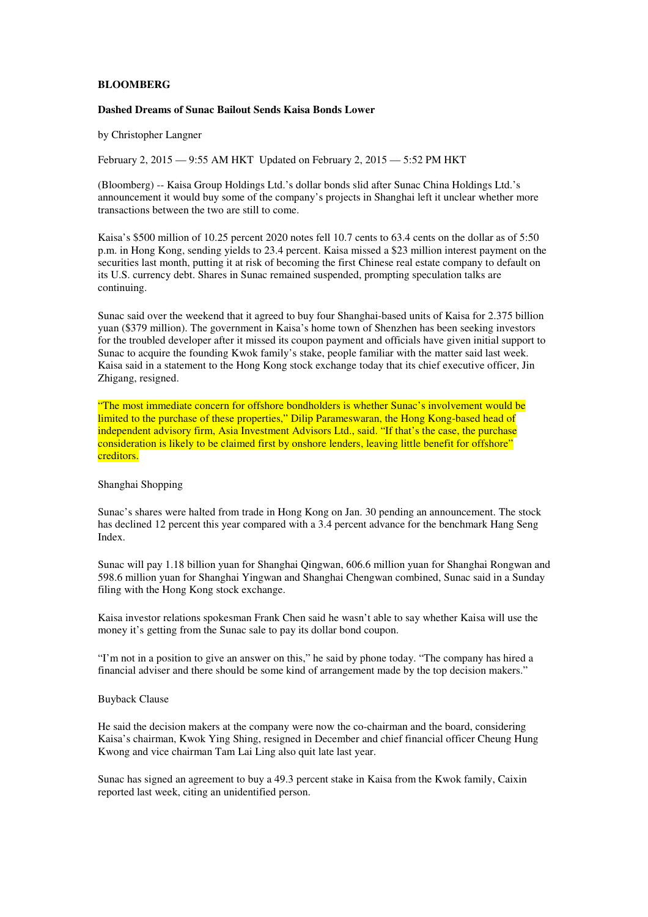# **BLOOMBERG**

### **Dashed Dreams of Sunac Bailout Sends Kaisa Bonds Lower**

by Christopher Langner

February 2, 2015 — 9:55 AM HKT Updated on February 2, 2015 — 5:52 PM HKT

(Bloomberg) -- Kaisa Group Holdings Ltd.'s dollar bonds slid after Sunac China Holdings Ltd.'s announcement it would buy some of the company's projects in Shanghai left it unclear whether more transactions between the two are still to come.

Kaisa's \$500 million of 10.25 percent 2020 notes fell 10.7 cents to 63.4 cents on the dollar as of 5:50 p.m. in Hong Kong, sending yields to 23.4 percent. Kaisa missed a \$23 million interest payment on the securities last month, putting it at risk of becoming the first Chinese real estate company to default on its U.S. currency debt. Shares in Sunac remained suspended, prompting speculation talks are continuing.

Sunac said over the weekend that it agreed to buy four Shanghai-based units of Kaisa for 2.375 billion yuan (\$379 million). The government in Kaisa's home town of Shenzhen has been seeking investors for the troubled developer after it missed its coupon payment and officials have given initial support to Sunac to acquire the founding Kwok family's stake, people familiar with the matter said last week. Kaisa said in a statement to the Hong Kong stock exchange today that its chief executive officer, Jin Zhigang, resigned.

"The most immediate concern for offshore bondholders is whether Sunac's involvement would be limited to the purchase of these properties," Dilip Parameswaran, the Hong Kong-based head of independent advisory firm, Asia Investment Advisors Ltd., said. "If that's the case, the purchase consideration is likely to be claimed first by onshore lenders, leaving little benefit for offshore" creditors.

# Shanghai Shopping

Sunac's shares were halted from trade in Hong Kong on Jan. 30 pending an announcement. The stock has declined 12 percent this year compared with a 3.4 percent advance for the benchmark Hang Seng Index.

Sunac will pay 1.18 billion yuan for Shanghai Qingwan, 606.6 million yuan for Shanghai Rongwan and 598.6 million yuan for Shanghai Yingwan and Shanghai Chengwan combined, Sunac said in a Sunday filing with the Hong Kong stock exchange.

Kaisa investor relations spokesman Frank Chen said he wasn't able to say whether Kaisa will use the money it's getting from the Sunac sale to pay its dollar bond coupon.

"I'm not in a position to give an answer on this," he said by phone today. "The company has hired a financial adviser and there should be some kind of arrangement made by the top decision makers."

### Buyback Clause

He said the decision makers at the company were now the co-chairman and the board, considering Kaisa's chairman, Kwok Ying Shing, resigned in December and chief financial officer Cheung Hung Kwong and vice chairman Tam Lai Ling also quit late last year.

Sunac has signed an agreement to buy a 49.3 percent stake in Kaisa from the Kwok family, Caixin reported last week, citing an unidentified person.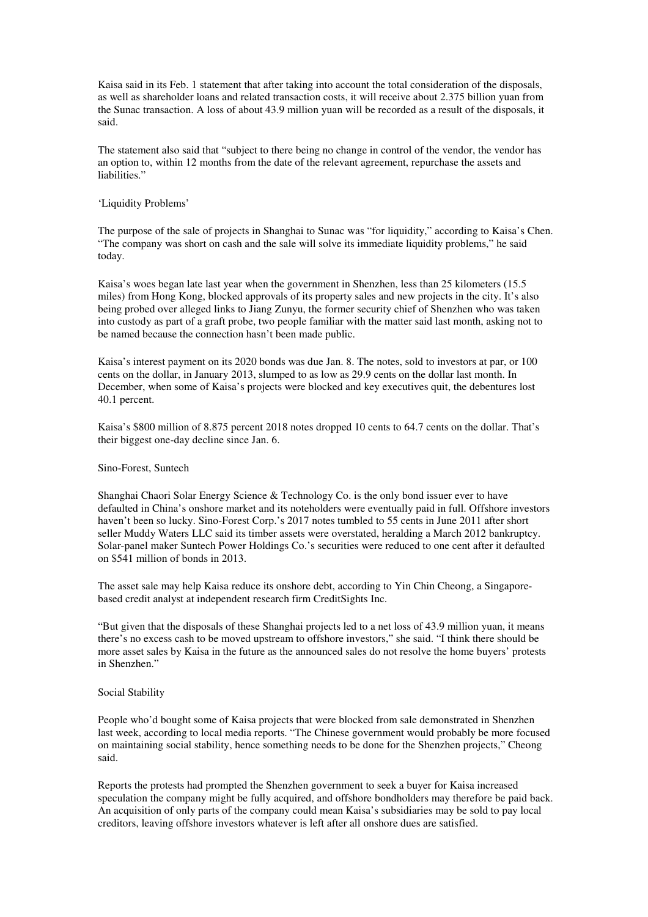Kaisa said in its Feb. 1 statement that after taking into account the total consideration of the disposals, as well as shareholder loans and related transaction costs, it will receive about 2.375 billion yuan from the Sunac transaction. A loss of about 43.9 million yuan will be recorded as a result of the disposals, it said.

The statement also said that "subject to there being no change in control of the vendor, the vendor has an option to, within 12 months from the date of the relevant agreement, repurchase the assets and liabilities."

### 'Liquidity Problems'

The purpose of the sale of projects in Shanghai to Sunac was "for liquidity," according to Kaisa's Chen. "The company was short on cash and the sale will solve its immediate liquidity problems," he said today.

Kaisa's woes began late last year when the government in Shenzhen, less than 25 kilometers (15.5 miles) from Hong Kong, blocked approvals of its property sales and new projects in the city. It's also being probed over alleged links to Jiang Zunyu, the former security chief of Shenzhen who was taken into custody as part of a graft probe, two people familiar with the matter said last month, asking not to be named because the connection hasn't been made public.

Kaisa's interest payment on its 2020 bonds was due Jan. 8. The notes, sold to investors at par, or 100 cents on the dollar, in January 2013, slumped to as low as 29.9 cents on the dollar last month. In December, when some of Kaisa's projects were blocked and key executives quit, the debentures lost 40.1 percent.

Kaisa's \$800 million of 8.875 percent 2018 notes dropped 10 cents to 64.7 cents on the dollar. That's their biggest one-day decline since Jan. 6.

#### Sino-Forest, Suntech

Shanghai Chaori Solar Energy Science & Technology Co. is the only bond issuer ever to have defaulted in China's onshore market and its noteholders were eventually paid in full. Offshore investors haven't been so lucky. Sino-Forest Corp.'s 2017 notes tumbled to 55 cents in June 2011 after short seller Muddy Waters LLC said its timber assets were overstated, heralding a March 2012 bankruptcy. Solar-panel maker Suntech Power Holdings Co.'s securities were reduced to one cent after it defaulted on \$541 million of bonds in 2013.

The asset sale may help Kaisa reduce its onshore debt, according to Yin Chin Cheong, a Singaporebased credit analyst at independent research firm CreditSights Inc.

"But given that the disposals of these Shanghai projects led to a net loss of 43.9 million yuan, it means there's no excess cash to be moved upstream to offshore investors," she said. "I think there should be more asset sales by Kaisa in the future as the announced sales do not resolve the home buyers' protests in Shenzhen."

#### Social Stability

People who'd bought some of Kaisa projects that were blocked from sale demonstrated in Shenzhen last week, according to local media reports. "The Chinese government would probably be more focused on maintaining social stability, hence something needs to be done for the Shenzhen projects," Cheong said.

Reports the protests had prompted the Shenzhen government to seek a buyer for Kaisa increased speculation the company might be fully acquired, and offshore bondholders may therefore be paid back. An acquisition of only parts of the company could mean Kaisa's subsidiaries may be sold to pay local creditors, leaving offshore investors whatever is left after all onshore dues are satisfied.